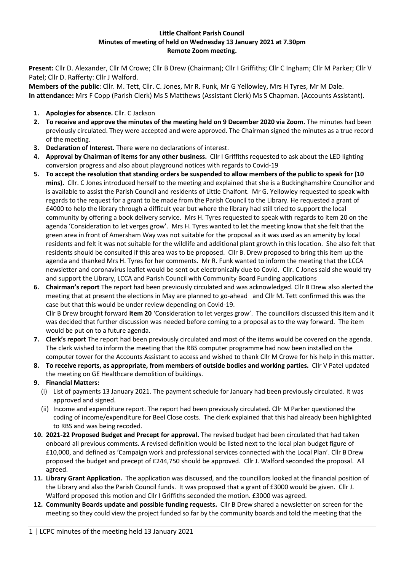## **Little Chalfont Parish Council Minutes of meeting of held on Wednesday 13 January 2021 at 7.30pm Remote Zoom meeting.**

**Present:** Cllr D. Alexander, Cllr M Crowe; Cllr B Drew (Chairman); Cllr I Griffiths; Cllr C Ingham; Cllr M Parker; Cllr V Patel; Cllr D. Rafferty: Cllr J Walford.

**Members of the public**: Cllr. M. Tett, Cllr. C. Jones, Mr R. Funk, Mr G Yellowley, Mrs H Tyres, Mr M Dale. **In attendance:** Mrs F Copp (Parish Clerk) Ms S Matthews (Assistant Clerk) Ms S Chapman. (Accounts Assistant).

- **1. Apologies for absence.** Cllr. C Jackson
- **2. To receive and approve the minutes of the meeting held on 9 December 2020 via Zoom.** The minutes had been previously circulated. They were accepted and were approved. The Chairman signed the minutes as a true record of the meeting.
- **3. Declaration of Interest.** There were no declarations of interest.
- **4. Approval by Chairman of items for any other business.** Cllr I Griffiths requested to ask about the LED lighting conversion progress and also about playground notices with regards to Covid-19
- **5. To accept the resolution that standing orders be suspended to allow members of the public to speak for (10 mins).** Cllr. C Jones introduced herself to the meeting and explained that she is a Buckinghamshire Councillor and is available to assist the Parish Council and residents of Little Chalfont. Mr G. Yellowley requested to speak with regards to the request for a grant to be made from the Parish Council to the Library. He requested a grant of £4000 to help the library through a difficult year but where the library had still tried to support the local community by offering a book delivery service. Mrs H. Tyres requested to speak with regards to item 20 on the agenda 'Consideration to let verges grow'. Mrs H. Tyres wanted to let the meeting know that she felt that the green area in front of Amersham Way was not suitable for the proposal as it was used as an amenity by local residents and felt it was not suitable for the wildlife and additional plant growth in this location. She also felt that residents should be consulted if this area was to be proposed. Cllr B. Drew proposed to bring this item up the agenda and thanked Mrs H. Tyres for her comments. Mr R. Funk wanted to inform the meeting that the LCCA newsletter and coronavirus leaflet would be sent out electronically due to Covid. Cllr. C Jones said she would try and support the Library, LCCA and Parish Council with Community Board Funding applications
- **6. Chairman's report** The report had been previously circulated and was acknowledged. Cllr B Drew also alerted the meeting that at present the elections in May are planned to go-ahead and Cllr M. Tett confirmed this was the case but that this would be under review depending on Covid-19. Cllr B Drew brought forward **item 20** 'Consideration to let verges grow'. The councillors discussed this item and it was decided that further discussion was needed before coming to a proposal as to the way forward. The item would be put on to a future agenda.
- **7. Clerk's report** The report had been previously circulated and most of the items would be covered on the agenda. The clerk wished to inform the meeting that the RBS computer programme had now been installed on the computer tower for the Accounts Assistant to access and wished to thank Cllr M Crowe for his help in this matter.
- **8. To receive reports, as appropriate, from members of outside bodies and working parties.** Cllr V Patel updated the meeting on GE Healthcare demolition of buildings.

## **9. Financial Matters:**

- (i) List of payments 13 January 2021. The payment schedule for January had been previously circulated. It was approved and signed.
- (ii) Income and expenditure report. The report had been previously circulated. Cllr M Parker questioned the coding of income/expenditure for Beel Close costs. The clerk explained that this had already been highlighted to RBS and was being recoded.
- **10. 2021-22 Proposed Budget and Precept for approval.** The revised budget had been circulated that had taken onboard all previous comments. A revised definition would be listed next to the local plan budget figure of £10,000, and defined as 'Campaign work and professional services connected with the Local Plan'. Cllr B Drew proposed the budget and precept of £244,750 should be approved. Cllr J. Walford seconded the proposal. All agreed.
- **11. Library Grant Application.** The application was discussed, and the councillors looked at the financial position of the Library and also the Parish Council funds. It was proposed that a grant of £3000 would be given. Cllr J. Walford proposed this motion and Cllr I Griffiths seconded the motion. £3000 was agreed.
- **12. Community Boards update and possible funding requests.** Cllr B Drew shared a newsletter on screen for the meeting so they could view the project funded so far by the community boards and told the meeting that the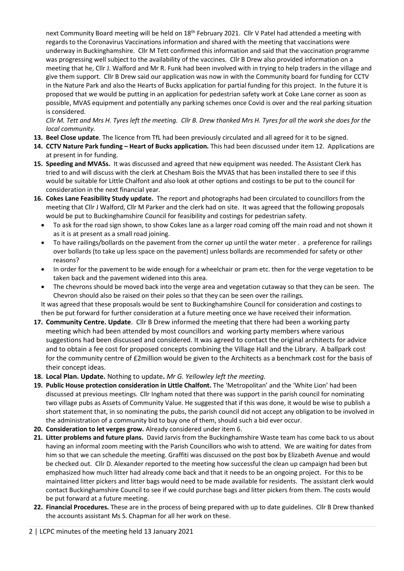next Community Board meeting will be held on 18<sup>th</sup> February 2021. Cllr V Patel had attended a meeting with regards to the Coronavirus Vaccinations information and shared with the meeting that vaccinations were underway in Buckinghamshire. Cllr M Tett confirmed this information and said that the vaccination programme was progressing well subject to the availability of the vaccines. Cllr B Drew also provided information on a meeting that he, Cllr J. Walford and Mr R. Funk had been involved with in trying to help traders in the village and give them support. Cllr B Drew said our application was now in with the Community board for funding for CCTV in the Nature Park and also the Hearts of Bucks application for partial funding for this project. In the future it is proposed that we would be putting in an application for pedestrian safety work at Coke Lane corner as soon as possible, MVAS equipment and potentially any parking schemes once Covid is over and the real parking situation is considered.

*Cllr M. Tett and Mrs H. Tyres left the meeting. Cllr B. Drew thanked Mrs H. Tyres for all the work she does for the local community.*

- **13. Beel Close update**. The licence from TfL had been previously circulated and all agreed for it to be signed.
- **14. CCTV Nature Park funding – Heart of Bucks application.** This had been discussed under item 12. Applications are at present in for funding.
- **15. Speeding and MVASs.** It was discussed and agreed that new equipment was needed. The Assistant Clerk has tried to and will discuss with the clerk at Chesham Bois the MVAS that has been installed there to see if this would be suitable for Little Chalfont and also look at other options and costings to be put to the council for consideration in the next financial year.
- **16. Cokes Lane Feasibility Study update.** The report and photographs had been circulated to councillors from the meeting that Cllr J Walford, Cllr M Parker and the clerk had on site. It was agreed that the following proposals would be put to Buckinghamshire Council for feasibility and costings for pedestrian safety.
	- To ask for the road sign shown, to show Cokes lane as a larger road coming off the main road and not shown it as it is at present as a small road joining.
	- To have railings/bollards on the pavement from the corner up until the water meter . a preference for railings over bollards (to take up less space on the pavement) unless bollards are recommended for safety or other reasons?
	- In order for the pavement to be wide enough for a wheelchair or pram etc. then for the verge vegetation to be taken back and the pavement widened into this area.
	- The chevrons should be moved back into the verge area and vegetation cutaway so that they can be seen. The Chevron should also be raised on their poles so that they can be seen over the railings.

It was agreed that these proposals would be sent to Buckinghamshire Council for consideration and costings to then be put forward for further consideration at a future meeting once we have received their information.

- **17. Community Centre. Update**. Cllr B Drew informed the meeting that there had been a working party meeting which had been attended by most councillors and working party members where various suggestions had been discussed and considered. It was agreed to contact the original architects for advice and to obtain a fee cost for proposed concepts combining the Village Hall and the Library. A ballpark cost for the community centre of £2million would be given to the Architects as a benchmark cost for the basis of their concept ideas.
- **18. Local Plan. Update.** Nothing to update**.** *Mr G. Yellowley left the meeting.*
- **19. Public House protection consideration in Little Chalfont.** The 'Metropolitan' and the 'White Lion' had been discussed at previous meetings. Cllr Ingham noted that there was support in the parish council for nominating two village pubs as Assets of Community Value. He suggested that if this was done, it would be wise to publish a short statement that, in so nominating the pubs, the parish council did not accept any obligation to be involved in the administration of a community bid to buy one of them, should such a bid ever occur.
- **20. Consideration to let verges grow.** Already considered under item 6.
- **21. Litter problems and future plans.** David Jarvis from the Buckinghamshire Waste team has come back to us about having an informal zoom meeting with the Parish Councillors who wish to attend. We are waiting for dates from him so that we can schedule the meeting. Graffiti was discussed on the post box by Elizabeth Avenue and would be checked out. Cllr D. Alexander reported to the meeting how successful the clean up campaign had been but emphasized how much litter had already come back and that it needs to be an ongoing project. For this to be maintained litter pickers and litter bags would need to be made available for residents. The assistant clerk would contact Buckinghamshire Council to see if we could purchase bags and litter pickers from them. The costs would be put forward at a future meeting.
- **22. Financial Procedures.** These are in the process of being prepared with up to date guidelines. Cllr B Drew thanked the accounts assistant Ms S. Chapman for all her work on these.